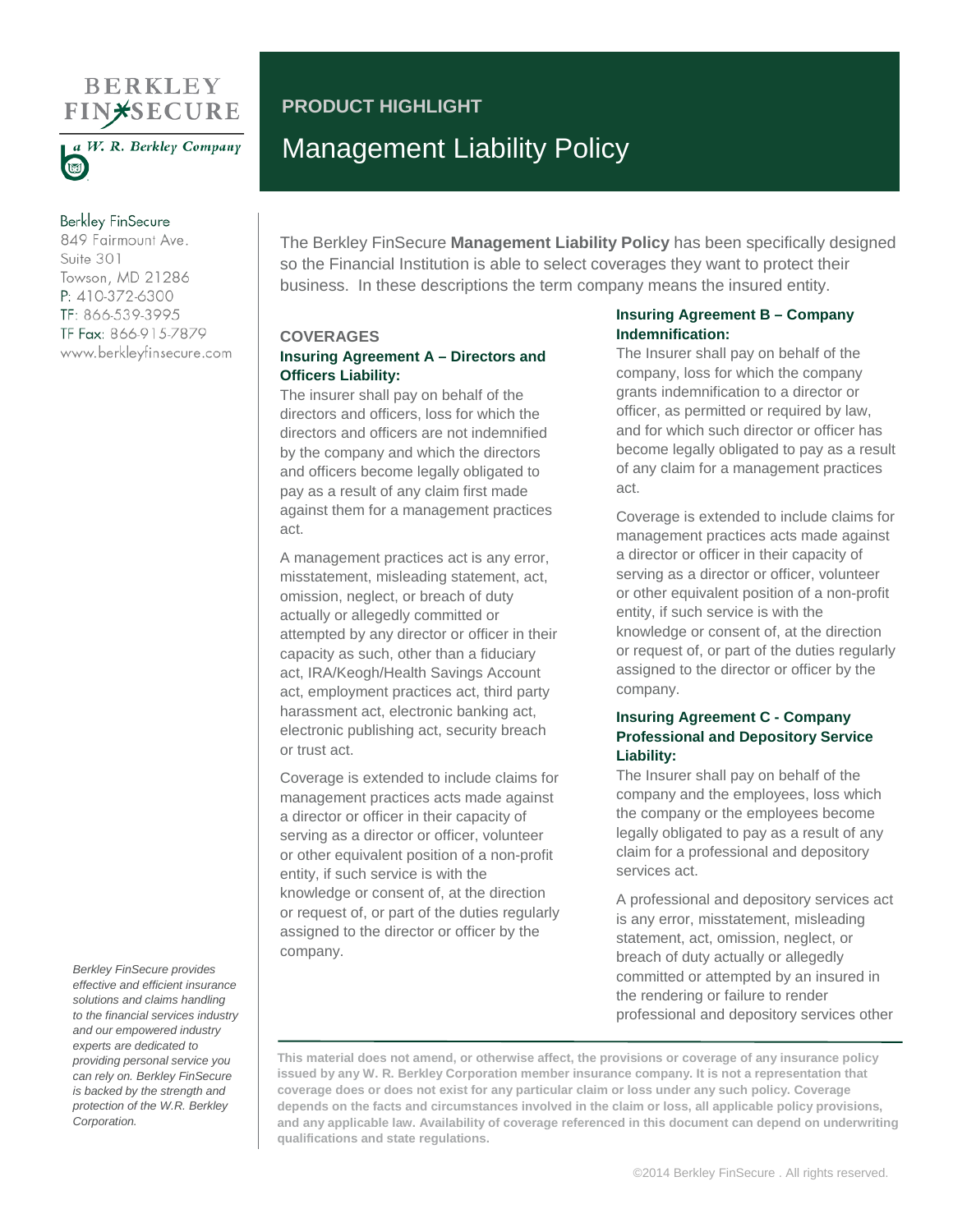# **BERKLEY FIN\*SECURE**



a W. R. Berkley Company

# **Berkley FinSecure**

849 Fairmount Ave. Suite 301 Towson, MD 21286 P: 410-372-6300 TF: 866-539-3995 TF Fax: 866-915-7879 www.berkleyfinsecure.com

# **PRODUCT HIGHLIGHT** Management Liability Policy

The Berkley FinSecure **Management Liability Policy** has been specifically designed so the Financial Institution is able to select coverages they want to protect their business. In these descriptions the term company means the insured entity.

#### **COVERAGES**

# **Insuring Agreement A – Directors and Officers Liability:**

The insurer shall pay on behalf of the directors and officers, loss for which the directors and officers are not indemnified by the company and which the directors and officers become legally obligated to pay as a result of any claim first made against them for a management practices act.

A management practices act is any error, misstatement, misleading statement, act, omission, neglect, or breach of duty actually or allegedly committed or attempted by any director or officer in their capacity as such, other than a fiduciary act, IRA/Keogh/Health Savings Account act, employment practices act, third party harassment act, electronic banking act, electronic publishing act, security breach or trust act.

Coverage is extended to include claims for management practices acts made against a director or officer in their capacity of serving as a director or officer, volunteer or other equivalent position of a non-profit entity, if such service is with the knowledge or consent of, at the direction or request of, or part of the duties regularly assigned to the director or officer by the company.

# **Insuring Agreement B – Company Indemnification:**

The Insurer shall pay on behalf of the company, loss for which the company grants indemnification to a director or officer, as permitted or required by law, and for which such director or officer has become legally obligated to pay as a result of any claim for a management practices act.

Coverage is extended to include claims for management practices acts made against a director or officer in their capacity of serving as a director or officer, volunteer or other equivalent position of a non-profit entity, if such service is with the knowledge or consent of, at the direction or request of, or part of the duties regularly assigned to the director or officer by the company.

# **Insuring Agreement C - Company Professional and Depository Service Liability:**

The Insurer shall pay on behalf of the company and the employees, loss which the company or the employees become legally obligated to pay as a result of any claim for a professional and depository services act.

A professional and depository services act is any error, misstatement, misleading statement, act, omission, neglect, or breach of duty actually or allegedly committed or attempted by an insured in the rendering or failure to render professional and depository services other

**This material does not amend, or otherwise affect, the provisions or coverage of any insurance policy issued by any W. R. Berkley Corporation member insurance company. It is not a representation that coverage does or does not exist for any particular claim or loss under any such policy. Coverage depends on the facts and circumstances involved in the claim or loss, all applicable policy provisions, and any applicable law. Availability of coverage referenced in this document can depend on underwriting qualifications and state regulations.**

*Berkley FinSecure provides effective and efficient insurance solutions and claims handling to the financial services industry and our empowered industry experts are dedicated to providing personal service you can rely on. Berkley FinSecure is backed by the strength and protection of the W.R. Berkley Corporation.*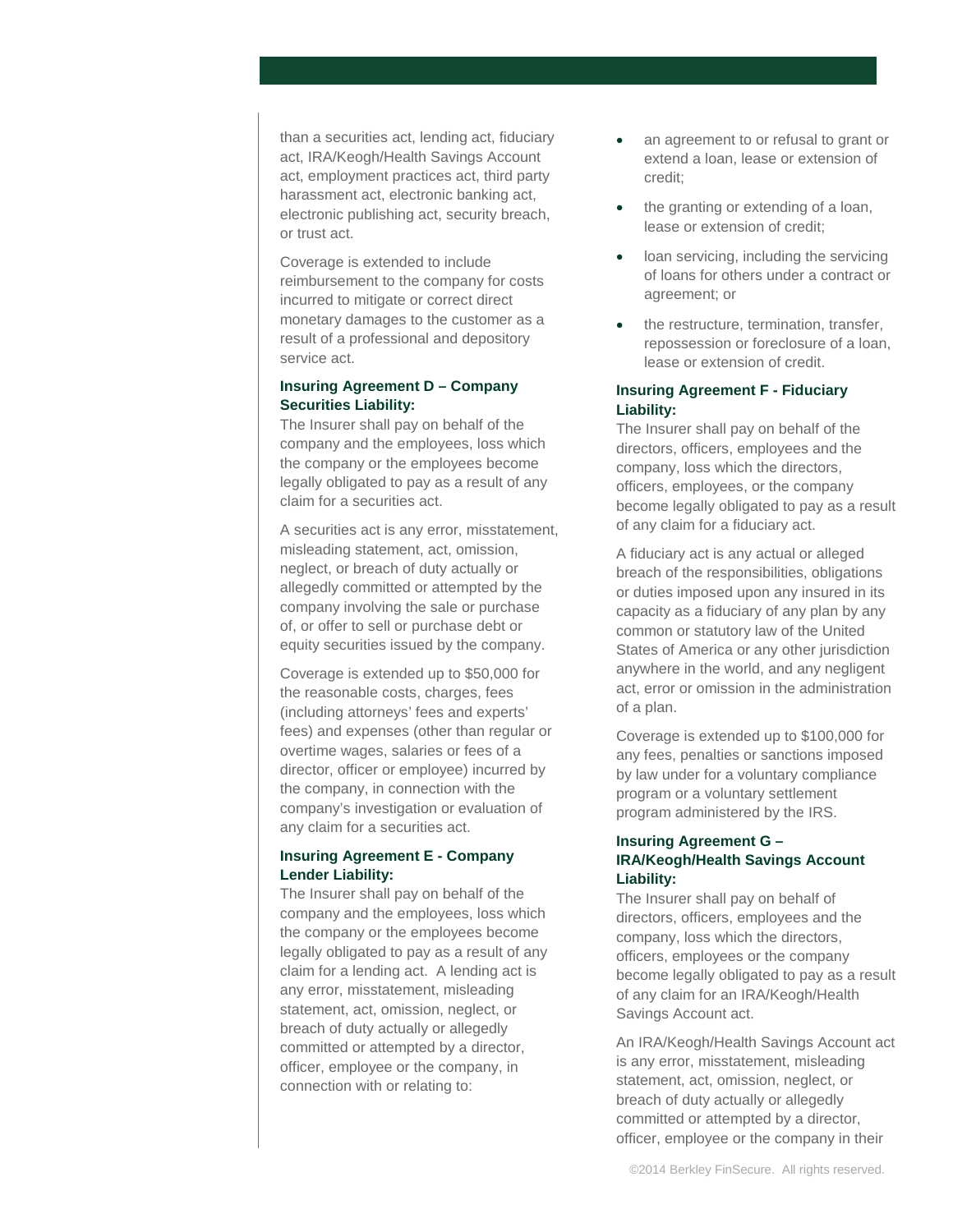than a securities act, lending act, fiduciary act, IRA/Keogh/Health Savings Account act, employment practices act, third party harassment act, electronic banking act, electronic publishing act, security breach, or trust act.

Coverage is extended to include reimbursement to the company for costs incurred to mitigate or correct direct monetary damages to the customer as a result of a professional and depository service act.

# **Insuring Agreement D – Company Securities Liability:**

The Insurer shall pay on behalf of the company and the employees, loss which the company or the employees become legally obligated to pay as a result of any claim for a securities act.

A securities act is any error, misstatement, misleading statement, act, omission, neglect, or breach of duty actually or allegedly committed or attempted by the company involving the sale or purchase of, or offer to sell or purchase debt or equity securities issued by the company.

Coverage is extended up to \$50,000 for the reasonable costs, charges, fees (including attorneys' fees and experts' fees) and expenses (other than regular or overtime wages, salaries or fees of a director, officer or employee) incurred by the company, in connection with the company's investigation or evaluation of any claim for a securities act.

# **Insuring Agreement E - Company Lender Liability:**

The Insurer shall pay on behalf of the company and the employees, loss which the company or the employees become legally obligated to pay as a result of any claim for a lending act. A lending act is any error, misstatement, misleading statement, act, omission, neglect, or breach of duty actually or allegedly committed or attempted by a director, officer, employee or the company, in connection with or relating to:

- an agreement to or refusal to grant or extend a loan, lease or extension of credit;
- the granting or extending of a loan, lease or extension of credit;
- loan servicing, including the servicing of loans for others under a contract or agreement; or
- the restructure, termination, transfer, repossession or foreclosure of a loan, lease or extension of credit.

# **Insuring Agreement F - Fiduciary Liability:**

The Insurer shall pay on behalf of the directors, officers, employees and the company, loss which the directors, officers, employees, or the company become legally obligated to pay as a result of any claim for a fiduciary act.

A fiduciary act is any actual or alleged breach of the responsibilities, obligations or duties imposed upon any insured in its capacity as a fiduciary of any plan by any common or statutory law of the United States of America or any other jurisdiction anywhere in the world, and any negligent act, error or omission in the administration of a plan.

Coverage is extended up to \$100,000 for any fees, penalties or sanctions imposed by law under for a voluntary compliance program or a voluntary settlement program administered by the IRS.

# **Insuring Agreement G – IRA/Keogh/Health Savings Account Liability:**

The Insurer shall pay on behalf of directors, officers, employees and the company, loss which the directors, officers, employees or the company become legally obligated to pay as a result of any claim for an IRA/Keogh/Health Savings Account act.

An IRA/Keogh/Health Savings Account act is any error, misstatement, misleading statement, act, omission, neglect, or breach of duty actually or allegedly committed or attempted by a director, officer, employee or the company in their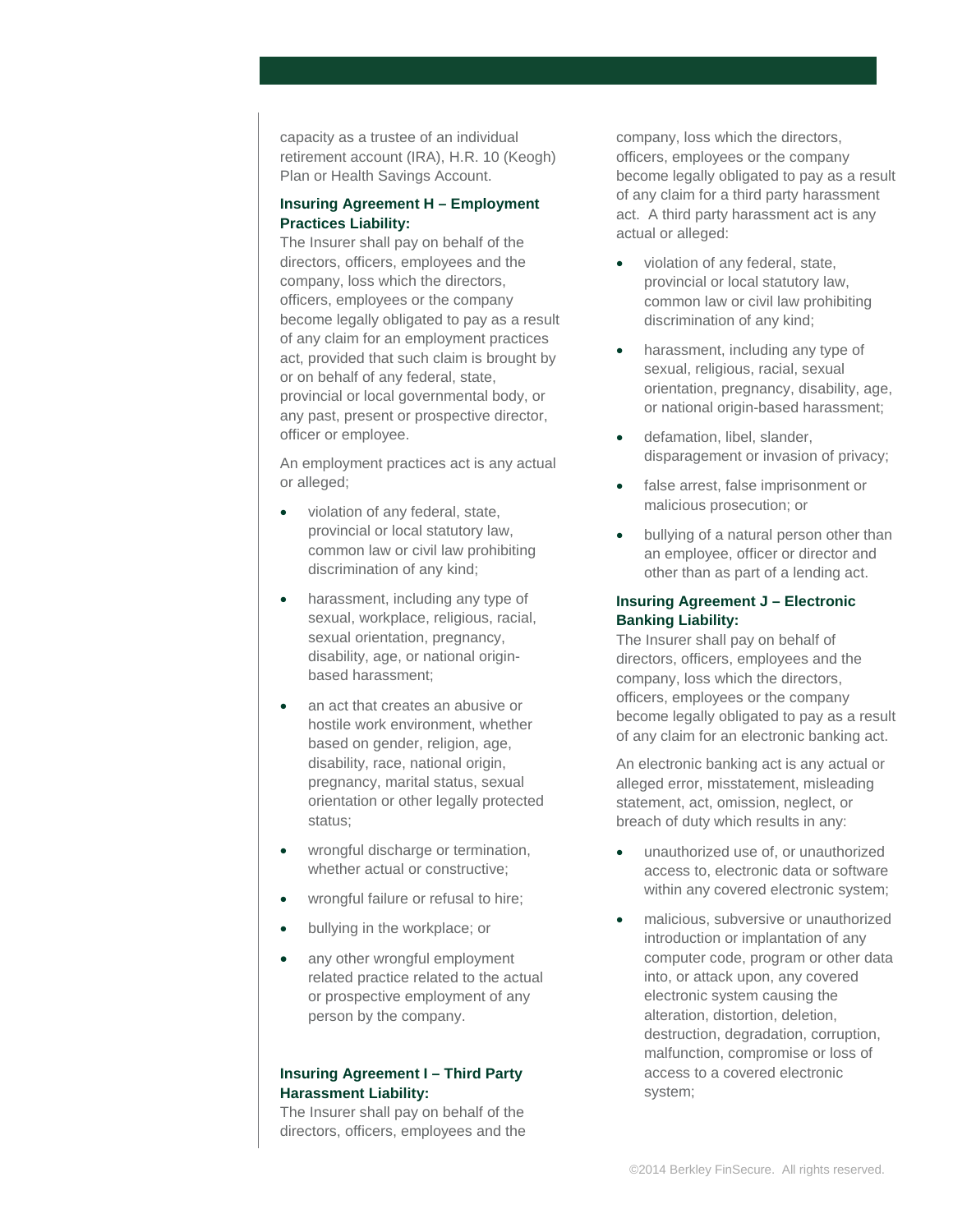capacity as a trustee of an individual retirement account (IRA), H.R. 10 (Keogh) Plan or Health Savings Account.

# **Insuring Agreement H – Employment Practices Liability:**

The Insurer shall pay on behalf of the directors, officers, employees and the company, loss which the directors, officers, employees or the company become legally obligated to pay as a result of any claim for an employment practices act, provided that such claim is brought by or on behalf of any federal, state, provincial or local governmental body, or any past, present or prospective director, officer or employee.

An employment practices act is any actual or alleged;

- violation of any federal, state, provincial or local statutory law, common law or civil law prohibiting discrimination of any kind;
- harassment, including any type of sexual, workplace, religious, racial, sexual orientation, pregnancy, disability, age, or national originbased harassment;
- an act that creates an abusive or hostile work environment, whether based on gender, religion, age, disability, race, national origin, pregnancy, marital status, sexual orientation or other legally protected status;
- wrongful discharge or termination, whether actual or constructive;
- wrongful failure or refusal to hire;
- bullying in the workplace; or
- any other wrongful employment related practice related to the actual or prospective employment of any person by the company.

#### **Insuring Agreement I – Third Party Harassment Liability:**

The Insurer shall pay on behalf of the directors, officers, employees and the company, loss which the directors, officers, employees or the company become legally obligated to pay as a result of any claim for a third party harassment act. A third party harassment act is any actual or alleged:

- violation of any federal, state, provincial or local statutory law, common law or civil law prohibiting discrimination of any kind;
- harassment, including any type of sexual, religious, racial, sexual orientation, pregnancy, disability, age, or national origin-based harassment;
- defamation, libel, slander, disparagement or invasion of privacy;
- false arrest, false imprisonment or malicious prosecution; or
- bullying of a natural person other than an employee, officer or director and other than as part of a lending act.

# **Insuring Agreement J – Electronic Banking Liability:**

The Insurer shall pay on behalf of directors, officers, employees and the company, loss which the directors, officers, employees or the company become legally obligated to pay as a result of any claim for an electronic banking act.

An electronic banking act is any actual or alleged error, misstatement, misleading statement, act, omission, neglect, or breach of duty which results in any:

- unauthorized use of, or unauthorized access to, electronic data or software within any covered electronic system;
- malicious, subversive or unauthorized introduction or implantation of any computer code, program or other data into, or attack upon, any covered electronic system causing the alteration, distortion, deletion, destruction, degradation, corruption, malfunction, compromise or loss of access to a covered electronic system;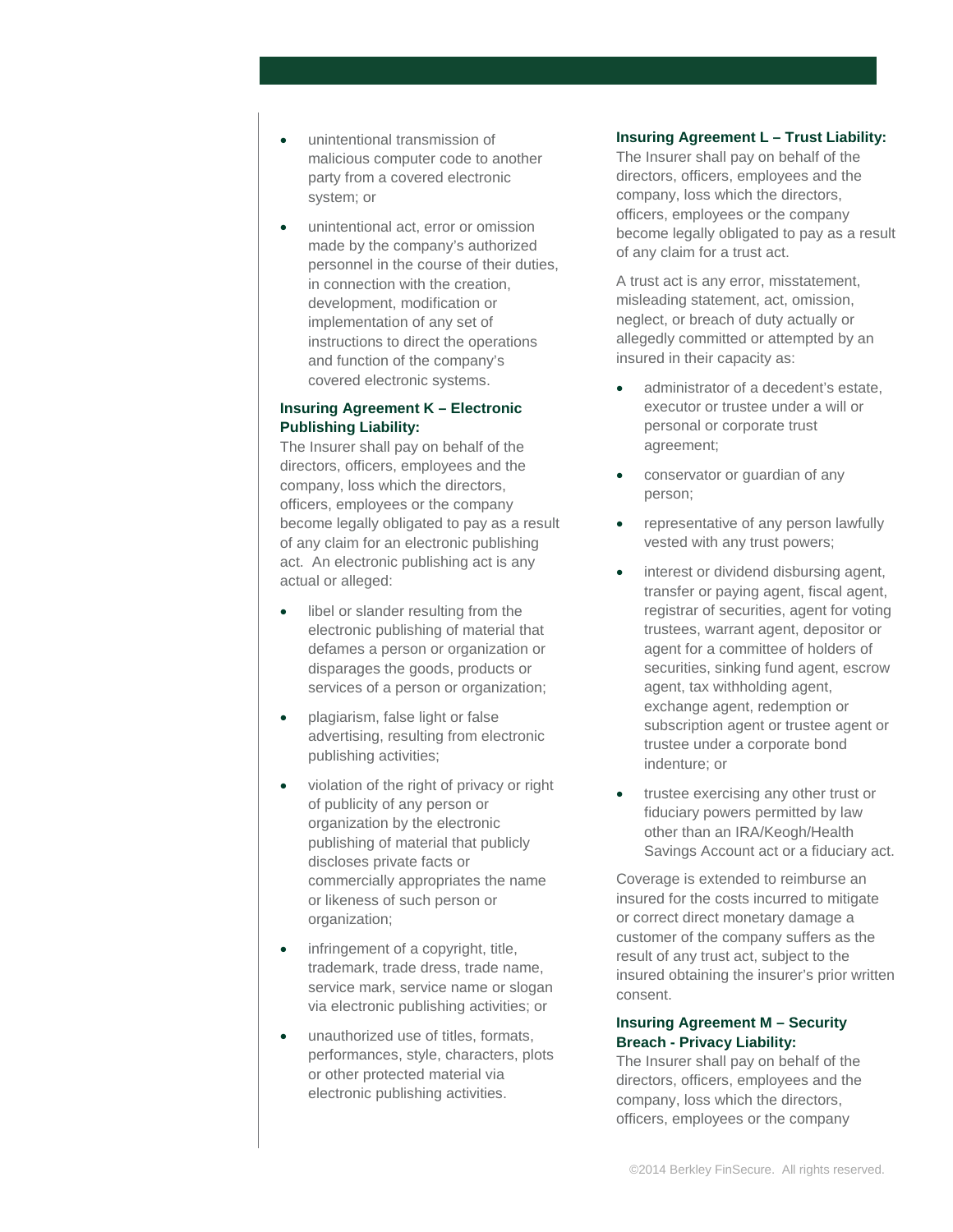- unintentional transmission of malicious computer code to another party from a covered electronic system; or
- unintentional act, error or omission made by the company's authorized personnel in the course of their duties, in connection with the creation, development, modification or implementation of any set of instructions to direct the operations and function of the company's covered electronic systems.

# **Insuring Agreement K – Electronic Publishing Liability:**

The Insurer shall pay on behalf of the directors, officers, employees and the company, loss which the directors, officers, employees or the company become legally obligated to pay as a result of any claim for an electronic publishing act. An electronic publishing act is any actual or alleged:

- libel or slander resulting from the electronic publishing of material that defames a person or organization or disparages the goods, products or services of a person or organization;
- plagiarism, false light or false advertising, resulting from electronic publishing activities;
- violation of the right of privacy or right of publicity of any person or organization by the electronic publishing of material that publicly discloses private facts or commercially appropriates the name or likeness of such person or organization;
- infringement of a copyright, title, trademark, trade dress, trade name, service mark, service name or slogan via electronic publishing activities; or
- unauthorized use of titles, formats, performances, style, characters, plots or other protected material via electronic publishing activities.

# **Insuring Agreement L – Trust Liability:**

The Insurer shall pay on behalf of the directors, officers, employees and the company, loss which the directors, officers, employees or the company become legally obligated to pay as a result of any claim for a trust act.

A trust act is any error, misstatement, misleading statement, act, omission, neglect, or breach of duty actually or allegedly committed or attempted by an insured in their capacity as:

- administrator of a decedent's estate, executor or trustee under a will or personal or corporate trust agreement;
- conservator or guardian of any person;
- representative of any person lawfully vested with any trust powers;
- interest or dividend disbursing agent, transfer or paying agent, fiscal agent, registrar of securities, agent for voting trustees, warrant agent, depositor or agent for a committee of holders of securities, sinking fund agent, escrow agent, tax withholding agent, exchange agent, redemption or subscription agent or trustee agent or trustee under a corporate bond indenture; or
- trustee exercising any other trust or fiduciary powers permitted by law other than an IRA/Keogh/Health Savings Account act or a fiduciary act.

Coverage is extended to reimburse an insured for the costs incurred to mitigate or correct direct monetary damage a customer of the company suffers as the result of any trust act, subject to the insured obtaining the insurer's prior written consent.

# **Insuring Agreement M – Security Breach - Privacy Liability:**

The Insurer shall pay on behalf of the directors, officers, employees and the company, loss which the directors, officers, employees or the company